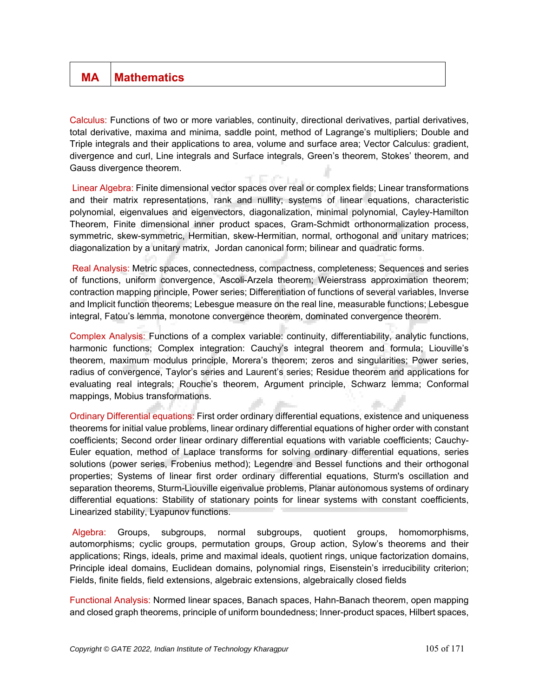## **MA** Mathematics

Calculus: Functions of two or more variables, continuity, directional derivatives, partial derivatives, total derivative, maxima and minima, saddle point, method of Lagrange's multipliers; Double and Triple integrals and their applications to area, volume and surface area; Vector Calculus: gradient, divergence and curl, Line integrals and Surface integrals, Green's theorem, Stokes' theorem, and Gauss divergence theorem.

Linear Algebra: Finite dimensional vector spaces over real or complex fields; Linear transformations and their matrix representations, rank and nullity; systems of linear equations, characteristic polynomial, eigenvalues and eigenvectors, diagonalization, minimal polynomial, Cayley-Hamilton Theorem, Finite dimensional inner product spaces, Gram-Schmidt orthonormalization process, symmetric, skew-symmetric, Hermitian, skew-Hermitian, normal, orthogonal and unitary matrices; diagonalization by a unitary matrix, Jordan canonical form; bilinear and quadratic forms.

Real Analysis: Metric spaces, connectedness, compactness, completeness; Sequences and series of functions, uniform convergence, Ascoli-Arzela theorem; Weierstrass approximation theorem; contraction mapping principle, Power series; Differentiation of functions of several variables, Inverse and Implicit function theorems; Lebesgue measure on the real line, measurable functions; Lebesgue integral, Fatou's lemma, monotone convergence theorem, dominated convergence theorem.

Complex Analysis: Functions of a complex variable: continuity, differentiability, analytic functions, harmonic functions; Complex integration: Cauchy's integral theorem and formula; Liouville's theorem, maximum modulus principle, Morera's theorem; zeros and singularities; Power series, radius of convergence, Taylor's series and Laurent's series; Residue theorem and applications for evaluating real integrals; Rouche's theorem, Argument principle, Schwarz lemma; Conformal mappings, Mobius transformations.

Ordinary Differential equations: First order ordinary differential equations, existence and uniqueness theorems for initial value problems, linear ordinary differential equations of higher order with constant coefficients; Second order linear ordinary differential equations with variable coefficients; Cauchy-Euler equation, method of Laplace transforms for solving ordinary differential equations, series solutions (power series, Frobenius method); Legendre and Bessel functions and their orthogonal properties; Systems of linear first order ordinary differential equations, Sturm's oscillation and separation theorems, Sturm-Liouville eigenvalue problems, Planar autonomous systems of ordinary differential equations: Stability of stationary points for linear systems with constant coefficients, Linearized stability, Lyapunov functions.

Algebra: Groups, subgroups, normal subgroups, quotient groups, homomorphisms, automorphisms; cyclic groups, permutation groups, Group action, Sylow's theorems and their applications; Rings, ideals, prime and maximal ideals, quotient rings, unique factorization domains, Principle ideal domains, Euclidean domains, polynomial rings, Eisenstein's irreducibility criterion; Fields, finite fields, field extensions, algebraic extensions, algebraically closed fields

Functional Analysis: Normed linear spaces, Banach spaces, Hahn-Banach theorem, open mapping and closed graph theorems, principle of uniform boundedness; Inner-product spaces, Hilbert spaces,